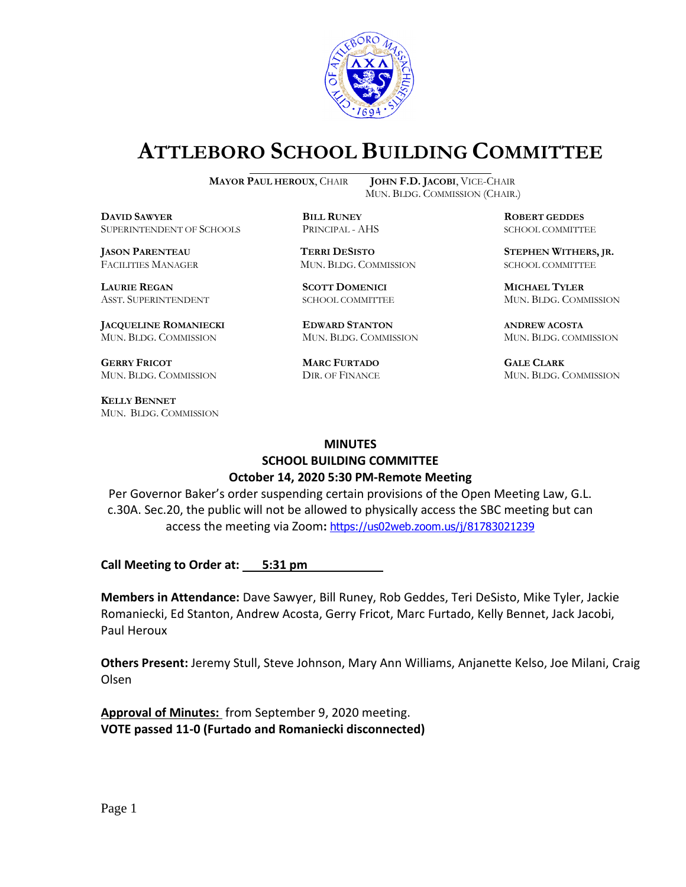

# **ATTLEBORO SCHOOL BUILDING COMMITTEE**

**DDAWYER BILL RUNEY ROBERT GEDDES** SUPERINTENDENT OF SCHOOLS PRINCIPAL - AHS SCHOOL COMMITTEE

**LAURIE REGAN SCOTT DOMENICI MICHAEL TYLER**

**JACQUELINE ROMANIECKI EDWARD STANTON ANDREW ACOSTA** MUN. BLDG. COMMISSION MUN. BLDG. COMMISSION MUN. BLDG. COMMISSION

**GERRY FRICOT MARC FURTADO GALE CLARK** MUN. BLDG. COMMISSION DIR. OF FINANCE MUN. BLDG. COMMISSION

**KELLY BENNET** MUN. BLDG. COMMISSION

**MAYOR PAUL HEROUX**, CHAIR **JOHN F.D. JACOBI**, VICE-CHAIR MUN. BLDG. COMMISSION (CHAIR.)

FACILITIES MANAGER MUN. BLDG. COMMISSION SCHOOL COMMITTEE

**JASON PARENTEAU TERRI DESISTO STEPHEN WITHERS, JR.**

ASST. SUPERINTENDENT SCHOOL COMMITTEE MUN. BLDG. COMMISSION

#### **MINUTES**

### **SCHOOL BUILDING COMMITTEE October 14, 2020 5:30 PM-Remote Meeting**

Per Governor Baker's order suspending certain provisions of the Open Meeting Law, G.L. c.30A. Sec.20, the public will not be allowed to physically access the SBC meeting but can access the meeting via Zoom**:** <https://us02web.zoom.us/j/81783021239>

**Call Meeting to Order at:** 5:31 pm

**Members in Attendance:** Dave Sawyer, Bill Runey, Rob Geddes, Teri DeSisto, Mike Tyler, Jackie Romaniecki, Ed Stanton, Andrew Acosta, Gerry Fricot, Marc Furtado, Kelly Bennet, Jack Jacobi, Paul Heroux

**Others Present:** Jeremy Stull, Steve Johnson, Mary Ann Williams, Anjanette Kelso, Joe Milani, Craig Olsen

**Approval of Minutes:** from September 9, 2020 meeting. **VOTE passed 11-0 (Furtado and Romaniecki disconnected)**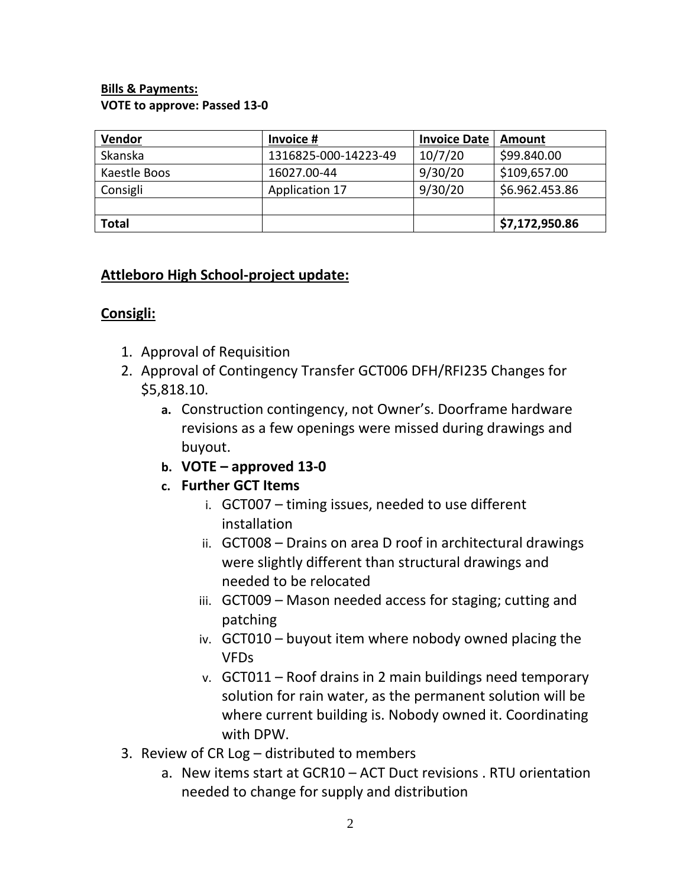#### **Bills & Payments: VOTE to approve: Passed 13-0**

| Vendor       | Invoice #            | <b>Invoice Date</b> | Amount         |
|--------------|----------------------|---------------------|----------------|
| Skanska      | 1316825-000-14223-49 | 10/7/20             | \$99.840.00    |
| Kaestle Boos | 16027.00-44          | 9/30/20             | \$109,657.00   |
| Consigli     | Application 17       | 9/30/20             | \$6.962.453.86 |
|              |                      |                     |                |
| <b>Total</b> |                      |                     | \$7,172,950.86 |

## **Attleboro High School-project update:**

# **Consigli:**

- 1. Approval of Requisition
- 2. Approval of Contingency Transfer GCT006 DFH/RFI235 Changes for \$5,818.10.
	- **a.** Construction contingency, not Owner's. Doorframe hardware revisions as a few openings were missed during drawings and buyout.
	- **b. VOTE – approved 13-0**
	- **c. Further GCT Items**
		- i. GCT007 timing issues, needed to use different installation
		- ii. GCT008 Drains on area D roof in architectural drawings were slightly different than structural drawings and needed to be relocated
		- iii. GCT009 Mason needed access for staging; cutting and patching
		- iv. GCT010 buyout item where nobody owned placing the VFDs
		- v. GCT011 Roof drains in 2 main buildings need temporary solution for rain water, as the permanent solution will be where current building is. Nobody owned it. Coordinating with DPW.
- 3. Review of CR Log distributed to members
	- a. New items start at GCR10 ACT Duct revisions . RTU orientation needed to change for supply and distribution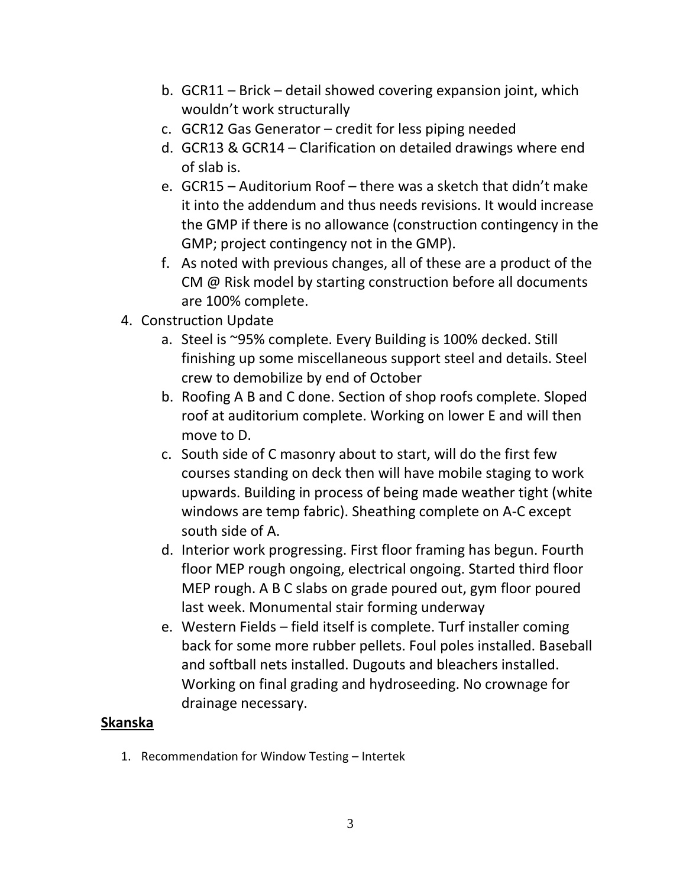- b. GCR11 Brick detail showed covering expansion joint, which wouldn't work structurally
- c. GCR12 Gas Generator credit for less piping needed
- d. GCR13 & GCR14 Clarification on detailed drawings where end of slab is.
- e. GCR15 Auditorium Roof there was a sketch that didn't make it into the addendum and thus needs revisions. It would increase the GMP if there is no allowance (construction contingency in the GMP; project contingency not in the GMP).
- f. As noted with previous changes, all of these are a product of the CM @ Risk model by starting construction before all documents are 100% complete.
- 4. Construction Update
	- a. Steel is ~95% complete. Every Building is 100% decked. Still finishing up some miscellaneous support steel and details. Steel crew to demobilize by end of October
	- b. Roofing A B and C done. Section of shop roofs complete. Sloped roof at auditorium complete. Working on lower E and will then move to D.
	- c. South side of C masonry about to start, will do the first few courses standing on deck then will have mobile staging to work upwards. Building in process of being made weather tight (white windows are temp fabric). Sheathing complete on A-C except south side of A.
	- d. Interior work progressing. First floor framing has begun. Fourth floor MEP rough ongoing, electrical ongoing. Started third floor MEP rough. A B C slabs on grade poured out, gym floor poured last week. Monumental stair forming underway
	- e. Western Fields field itself is complete. Turf installer coming back for some more rubber pellets. Foul poles installed. Baseball and softball nets installed. Dugouts and bleachers installed. Working on final grading and hydroseeding. No crownage for drainage necessary.

### **Skanska**

1. Recommendation for Window Testing – Intertek